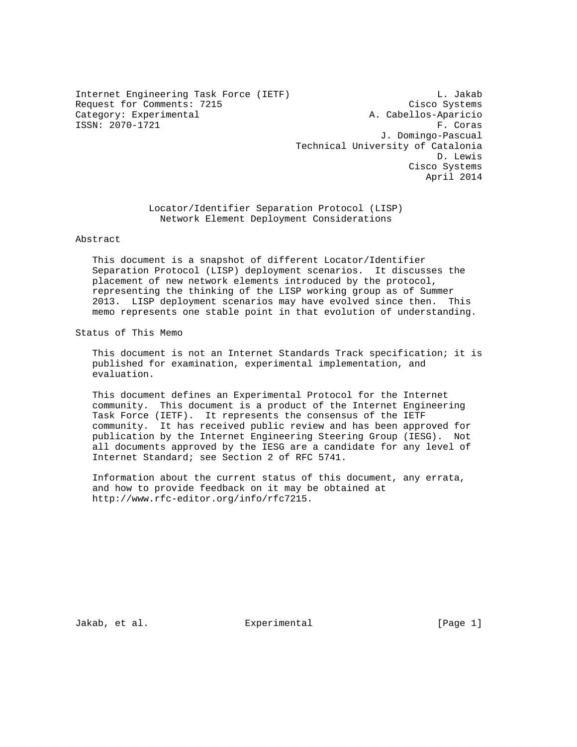Internet Engineering Task Force (IETF) and the contract of the L. Jakab Request for Comments: 7215 Cisco Systems Category: Experimental A. Cabellos-Aparicio ISSN: 2070-1721 F. Coras

 J. Domingo-Pascual Technical University of Catalonia D. Lewis Cisco Systems April 2014

 Locator/Identifier Separation Protocol (LISP) Network Element Deployment Considerations

# Abstract

 This document is a snapshot of different Locator/Identifier Separation Protocol (LISP) deployment scenarios. It discusses the placement of new network elements introduced by the protocol, representing the thinking of the LISP working group as of Summer 2013. LISP deployment scenarios may have evolved since then. This memo represents one stable point in that evolution of understanding.

Status of This Memo

 This document is not an Internet Standards Track specification; it is published for examination, experimental implementation, and evaluation.

 This document defines an Experimental Protocol for the Internet community. This document is a product of the Internet Engineering Task Force (IETF). It represents the consensus of the IETF community. It has received public review and has been approved for publication by the Internet Engineering Steering Group (IESG). Not all documents approved by the IESG are a candidate for any level of Internet Standard; see Section 2 of RFC 5741.

 Information about the current status of this document, any errata, and how to provide feedback on it may be obtained at http://www.rfc-editor.org/info/rfc7215.

Jakab, et al. Experimental [Page 1]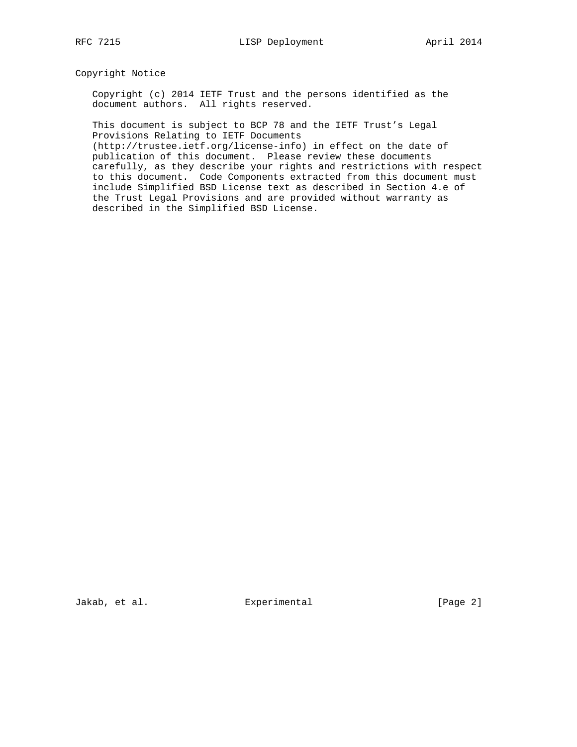Copyright Notice

 Copyright (c) 2014 IETF Trust and the persons identified as the document authors. All rights reserved.

 This document is subject to BCP 78 and the IETF Trust's Legal Provisions Relating to IETF Documents

 (http://trustee.ietf.org/license-info) in effect on the date of publication of this document. Please review these documents carefully, as they describe your rights and restrictions with respect to this document. Code Components extracted from this document must include Simplified BSD License text as described in Section 4.e of the Trust Legal Provisions and are provided without warranty as described in the Simplified BSD License.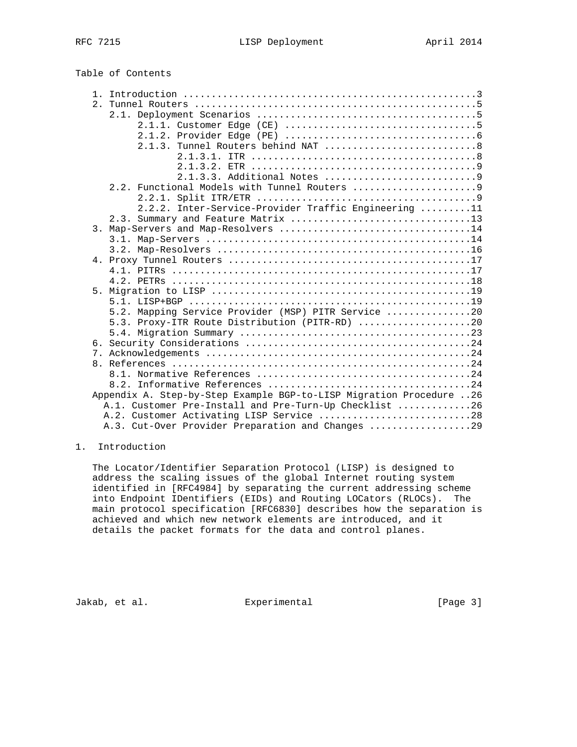Table of Contents

| 2. | 2.1.2.<br>2.1.3. Tunnel Routers behind NAT  8                                                                                                                                                                                  |
|----|--------------------------------------------------------------------------------------------------------------------------------------------------------------------------------------------------------------------------------|
|    | 2.2. Functional Models with Tunnel Routers 9                                                                                                                                                                                   |
|    | 2.2.2. Inter-Service-Provider Traffic Engineering 11                                                                                                                                                                           |
| 3. |                                                                                                                                                                                                                                |
|    |                                                                                                                                                                                                                                |
|    |                                                                                                                                                                                                                                |
|    |                                                                                                                                                                                                                                |
|    | 5.2. Mapping Service Provider (MSP) PITR Service 20                                                                                                                                                                            |
|    | 5.3. Proxy-ITR Route Distribution (PITR-RD) 20                                                                                                                                                                                 |
| 7. |                                                                                                                                                                                                                                |
|    |                                                                                                                                                                                                                                |
|    | Appendix A. Step-by-Step Example BGP-to-LISP Migration Procedure 26<br>A.1. Customer Pre-Install and Pre-Turn-Up Checklist 26<br>A.2. Customer Activating LISP Service 28<br>A.3. Cut-Over Provider Preparation and Changes 29 |

# 1. Introduction

 The Locator/Identifier Separation Protocol (LISP) is designed to address the scaling issues of the global Internet routing system identified in [RFC4984] by separating the current addressing scheme into Endpoint IDentifiers (EIDs) and Routing LOCators (RLOCs). The main protocol specification [RFC6830] describes how the separation is achieved and which new network elements are introduced, and it details the packet formats for the data and control planes.

Jakab, et al. Experimental [Page 3]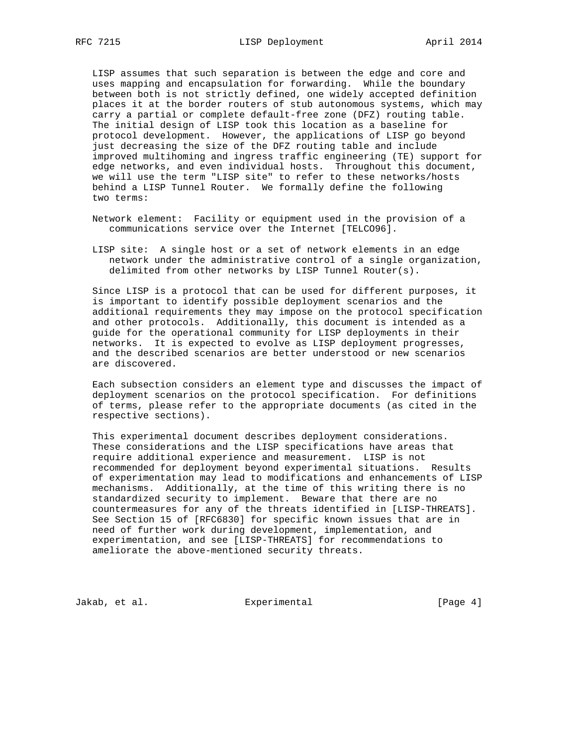LISP assumes that such separation is between the edge and core and uses mapping and encapsulation for forwarding. While the boundary between both is not strictly defined, one widely accepted definition places it at the border routers of stub autonomous systems, which may carry a partial or complete default-free zone (DFZ) routing table. The initial design of LISP took this location as a baseline for protocol development. However, the applications of LISP go beyond just decreasing the size of the DFZ routing table and include improved multihoming and ingress traffic engineering (TE) support for edge networks, and even individual hosts. Throughout this document, we will use the term "LISP site" to refer to these networks/hosts behind a LISP Tunnel Router. We formally define the following two terms:

- Network element: Facility or equipment used in the provision of a communications service over the Internet [TELCO96].
- LISP site: A single host or a set of network elements in an edge network under the administrative control of a single organization, delimited from other networks by LISP Tunnel Router(s).

 Since LISP is a protocol that can be used for different purposes, it is important to identify possible deployment scenarios and the additional requirements they may impose on the protocol specification and other protocols. Additionally, this document is intended as a guide for the operational community for LISP deployments in their networks. It is expected to evolve as LISP deployment progresses, and the described scenarios are better understood or new scenarios are discovered.

 Each subsection considers an element type and discusses the impact of deployment scenarios on the protocol specification. For definitions of terms, please refer to the appropriate documents (as cited in the respective sections).

 This experimental document describes deployment considerations. These considerations and the LISP specifications have areas that require additional experience and measurement. LISP is not recommended for deployment beyond experimental situations. Results of experimentation may lead to modifications and enhancements of LISP mechanisms. Additionally, at the time of this writing there is no standardized security to implement. Beware that there are no countermeasures for any of the threats identified in [LISP-THREATS]. See Section 15 of [RFC6830] for specific known issues that are in need of further work during development, implementation, and experimentation, and see [LISP-THREATS] for recommendations to ameliorate the above-mentioned security threats.

Jakab, et al. Subsectimental Experimental [Page 4]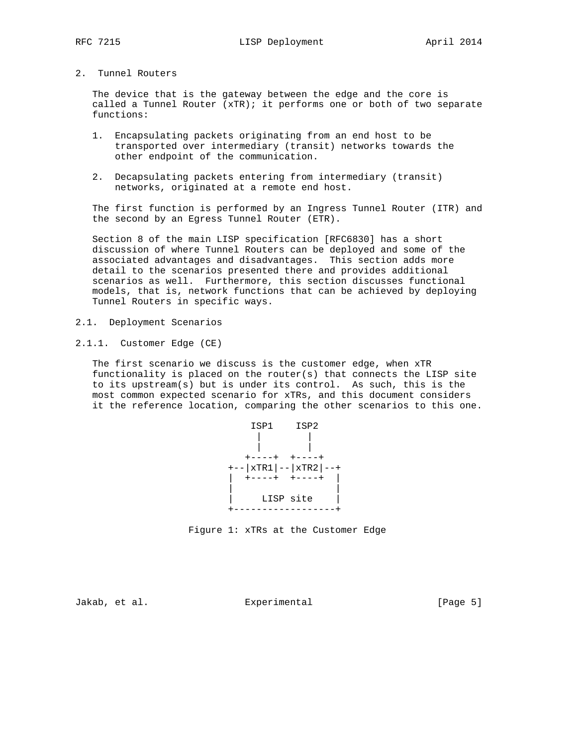2. Tunnel Routers

 The device that is the gateway between the edge and the core is called a Tunnel Router (xTR); it performs one or both of two separate functions:

- 1. Encapsulating packets originating from an end host to be transported over intermediary (transit) networks towards the other endpoint of the communication.
- 2. Decapsulating packets entering from intermediary (transit) networks, originated at a remote end host.

 The first function is performed by an Ingress Tunnel Router (ITR) and the second by an Egress Tunnel Router (ETR).

 Section 8 of the main LISP specification [RFC6830] has a short discussion of where Tunnel Routers can be deployed and some of the associated advantages and disadvantages. This section adds more detail to the scenarios presented there and provides additional scenarios as well. Furthermore, this section discusses functional models, that is, network functions that can be achieved by deploying Tunnel Routers in specific ways.

- 2.1. Deployment Scenarios
- 2.1.1. Customer Edge (CE)

 The first scenario we discuss is the customer edge, when xTR functionality is placed on the router(s) that connects the LISP site to its upstream(s) but is under its control. As such, this is the most common expected scenario for xTRs, and this document considers it the reference location, comparing the other scenarios to this one.



Figure 1: xTRs at the Customer Edge

Jakab, et al. Experimental [Page 5]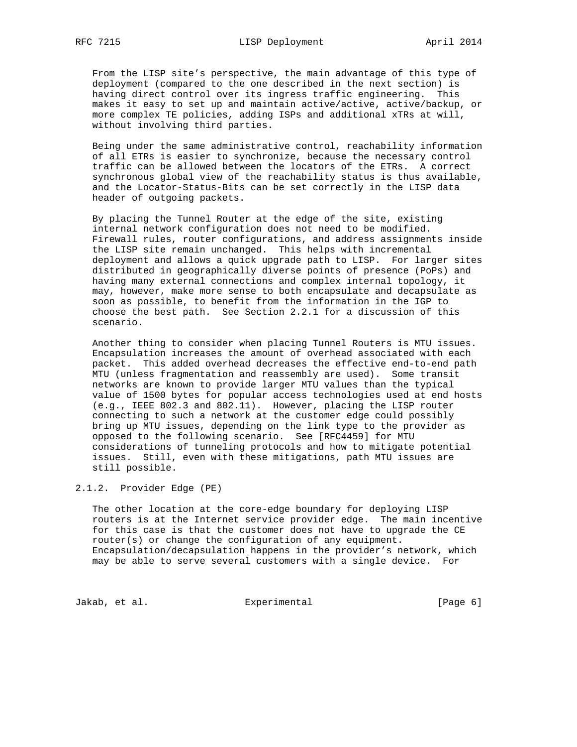From the LISP site's perspective, the main advantage of this type of deployment (compared to the one described in the next section) is having direct control over its ingress traffic engineering. This makes it easy to set up and maintain active/active, active/backup, or more complex TE policies, adding ISPs and additional xTRs at will, without involving third parties.

 Being under the same administrative control, reachability information of all ETRs is easier to synchronize, because the necessary control traffic can be allowed between the locators of the ETRs. A correct synchronous global view of the reachability status is thus available, and the Locator-Status-Bits can be set correctly in the LISP data header of outgoing packets.

 By placing the Tunnel Router at the edge of the site, existing internal network configuration does not need to be modified. Firewall rules, router configurations, and address assignments inside the LISP site remain unchanged. This helps with incremental deployment and allows a quick upgrade path to LISP. For larger sites distributed in geographically diverse points of presence (PoPs) and having many external connections and complex internal topology, it may, however, make more sense to both encapsulate and decapsulate as soon as possible, to benefit from the information in the IGP to choose the best path. See Section 2.2.1 for a discussion of this scenario.

 Another thing to consider when placing Tunnel Routers is MTU issues. Encapsulation increases the amount of overhead associated with each packet. This added overhead decreases the effective end-to-end path MTU (unless fragmentation and reassembly are used). Some transit networks are known to provide larger MTU values than the typical value of 1500 bytes for popular access technologies used at end hosts (e.g., IEEE 802.3 and 802.11). However, placing the LISP router connecting to such a network at the customer edge could possibly bring up MTU issues, depending on the link type to the provider as opposed to the following scenario. See [RFC4459] for MTU considerations of tunneling protocols and how to mitigate potential issues. Still, even with these mitigations, path MTU issues are still possible.

# 2.1.2. Provider Edge (PE)

 The other location at the core-edge boundary for deploying LISP routers is at the Internet service provider edge. The main incentive for this case is that the customer does not have to upgrade the CE router(s) or change the configuration of any equipment. Encapsulation/decapsulation happens in the provider's network, which may be able to serve several customers with a single device. For

Jakab, et al. Experimental [Page 6]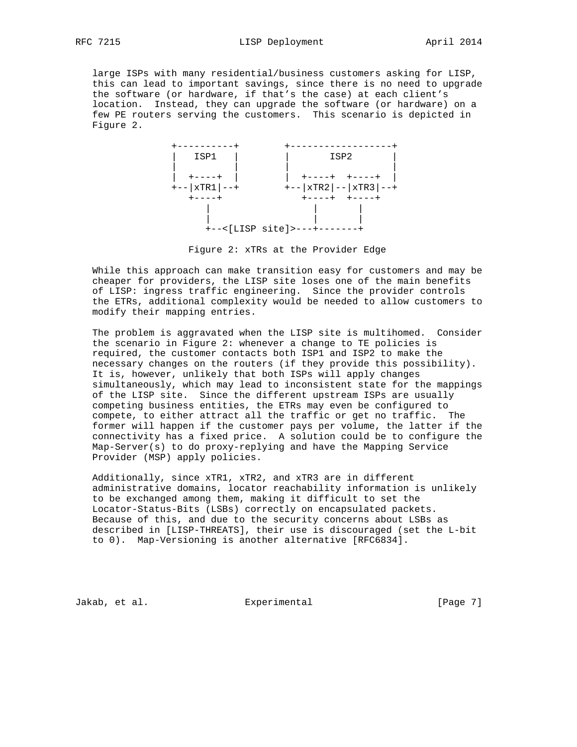large ISPs with many residential/business customers asking for LISP, this can lead to important savings, since there is no need to upgrade the software (or hardware, if that's the case) at each client's location. Instead, they can upgrade the software (or hardware) on a few PE routers serving the customers. This scenario is depicted in Figure 2.



Figure 2: xTRs at the Provider Edge

 While this approach can make transition easy for customers and may be cheaper for providers, the LISP site loses one of the main benefits of LISP: ingress traffic engineering. Since the provider controls the ETRs, additional complexity would be needed to allow customers to modify their mapping entries.

 The problem is aggravated when the LISP site is multihomed. Consider the scenario in Figure 2: whenever a change to TE policies is required, the customer contacts both ISP1 and ISP2 to make the necessary changes on the routers (if they provide this possibility). It is, however, unlikely that both ISPs will apply changes simultaneously, which may lead to inconsistent state for the mappings of the LISP site. Since the different upstream ISPs are usually competing business entities, the ETRs may even be configured to compete, to either attract all the traffic or get no traffic. The former will happen if the customer pays per volume, the latter if the connectivity has a fixed price. A solution could be to configure the Map-Server(s) to do proxy-replying and have the Mapping Service Provider (MSP) apply policies.

 Additionally, since xTR1, xTR2, and xTR3 are in different administrative domains, locator reachability information is unlikely to be exchanged among them, making it difficult to set the Locator-Status-Bits (LSBs) correctly on encapsulated packets. Because of this, and due to the security concerns about LSBs as described in [LISP-THREATS], their use is discouraged (set the L-bit to 0). Map-Versioning is another alternative [RFC6834].

Jakab, et al. Experimental [Page 7]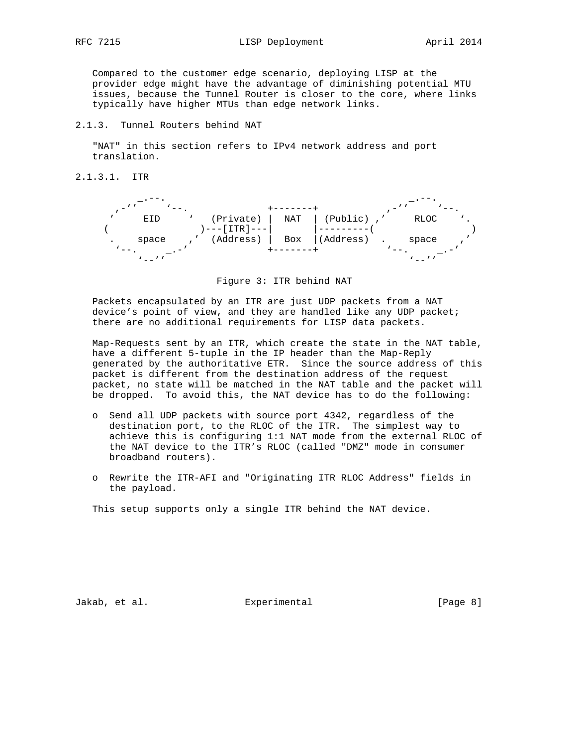Compared to the customer edge scenario, deploying LISP at the provider edge might have the advantage of diminishing potential MTU issues, because the Tunnel Router is closer to the core, where links typically have higher MTUs than edge network links.

## 2.1.3. Tunnel Routers behind NAT

 "NAT" in this section refers to IPv4 network address and port translation.

2.1.3.1. ITR

| $-1$  |                            |     |                     | $-$ '' |       |  |
|-------|----------------------------|-----|---------------------|--------|-------|--|
| EID   | (Private)<br>$---[ITR]---$ | NAT | (Public),'          |        | RLOC  |  |
| space | (Address)                  | Box | $\vert$ (Address) . |        | space |  |
|       |                            |     |                     |        |       |  |

Figure 3: ITR behind NAT

 Packets encapsulated by an ITR are just UDP packets from a NAT device's point of view, and they are handled like any UDP packet; there are no additional requirements for LISP data packets.

 Map-Requests sent by an ITR, which create the state in the NAT table, have a different 5-tuple in the IP header than the Map-Reply generated by the authoritative ETR. Since the source address of this packet is different from the destination address of the request packet, no state will be matched in the NAT table and the packet will be dropped. To avoid this, the NAT device has to do the following:

- o Send all UDP packets with source port 4342, regardless of the destination port, to the RLOC of the ITR. The simplest way to achieve this is configuring 1:1 NAT mode from the external RLOC of the NAT device to the ITR's RLOC (called "DMZ" mode in consumer broadband routers).
- o Rewrite the ITR-AFI and "Originating ITR RLOC Address" fields in the payload.

This setup supports only a single ITR behind the NAT device.

Jakab, et al. Sand Experimental Contract (Page 8)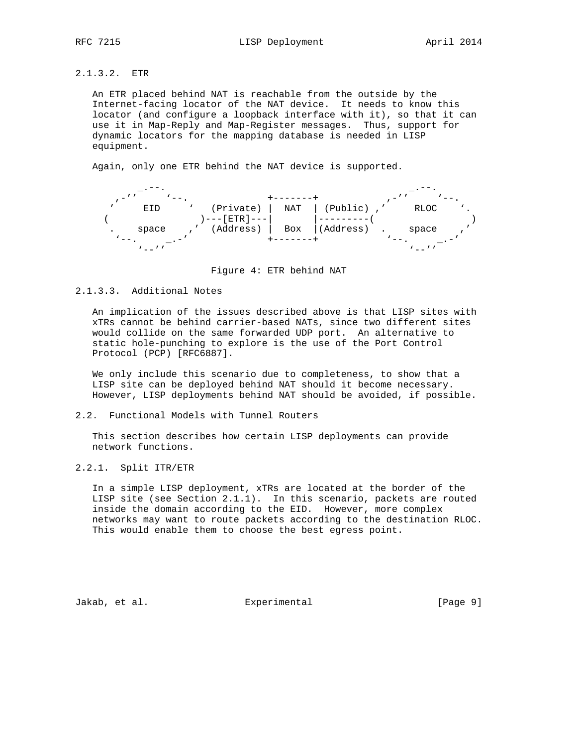# 2.1.3.2. ETR

 An ETR placed behind NAT is reachable from the outside by the Internet-facing locator of the NAT device. It needs to know this locator (and configure a loopback interface with it), so that it can use it in Map-Reply and Map-Register messages. Thus, support for dynamic locators for the mapping database is needed in LISP equipment.

Again, only one ETR behind the NAT device is supported.

 \_.--. \_.--. ,-'' '--. +-------+ ,-'' '--. ' EID ' (Private) | NAT | (Public) ,' RLOC '. ( )---[ETR]---| |---------( ) . space ,' (Address) | Box |(Address) . space ,' '--. \_.-' +-------+ '--. \_.-'  $\mathcal{N}=+L$ ' ' $\mathcal{N}=+L$ ' ' $\mathcal{N}=+L$ ' ' $\mathcal{N}=+L$ ' ' $\mathcal{N}=+L$ ' ' $\mathcal{N}=+L$ ' ' $\mathcal{N}=+L$ ' ' $\mathcal{N}=+L$ ' ' $\mathcal{N}=+L$ ' ' $\mathcal{N}=+L$ ' ' $\mathcal{N}=+L$ ' ' $\mathcal{N}=+L$ ' ' $\mathcal{N}=+L$ ' ' $\mathcal{N}=+L$ ' ' $\mathcal{N}=+L$ ' ' $\mathcal{N}=+L$ ' ' $\mathcal{N}=+L$ ' '

#### Figure 4: ETR behind NAT

# 2.1.3.3. Additional Notes

 An implication of the issues described above is that LISP sites with xTRs cannot be behind carrier-based NATs, since two different sites would collide on the same forwarded UDP port. An alternative to static hole-punching to explore is the use of the Port Control Protocol (PCP) [RFC6887].

 We only include this scenario due to completeness, to show that a LISP site can be deployed behind NAT should it become necessary. However, LISP deployments behind NAT should be avoided, if possible.

## 2.2. Functional Models with Tunnel Routers

 This section describes how certain LISP deployments can provide network functions.

# 2.2.1. Split ITR/ETR

 In a simple LISP deployment, xTRs are located at the border of the LISP site (see Section 2.1.1). In this scenario, packets are routed inside the domain according to the EID. However, more complex networks may want to route packets according to the destination RLOC. This would enable them to choose the best egress point.

Jakab, et al. Experimental [Page 9]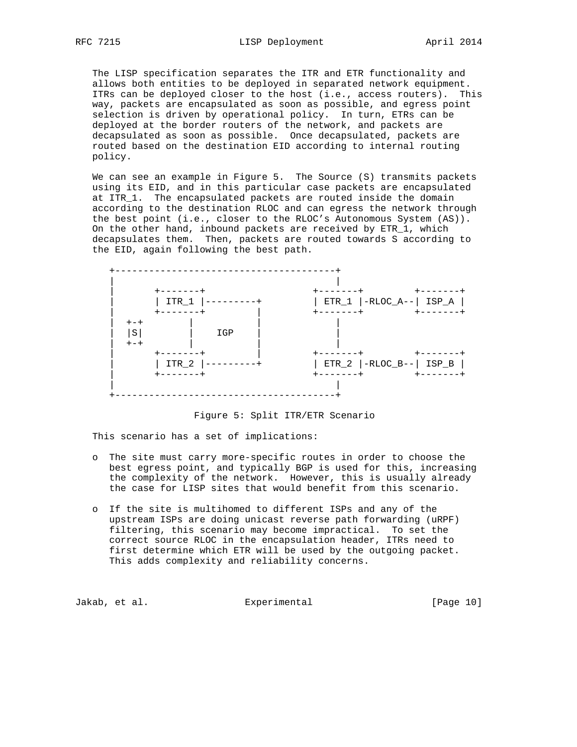The LISP specification separates the ITR and ETR functionality and allows both entities to be deployed in separated network equipment. ITRs can be deployed closer to the host (i.e., access routers). This way, packets are encapsulated as soon as possible, and egress point selection is driven by operational policy. In turn, ETRs can be deployed at the border routers of the network, and packets are decapsulated as soon as possible. Once decapsulated, packets are routed based on the destination EID according to internal routing policy.

We can see an example in Figure 5. The Source (S) transmits packets using its EID, and in this particular case packets are encapsulated at ITR\_1. The encapsulated packets are routed inside the domain according to the destination RLOC and can egress the network through the best point (i.e., closer to the RLOC's Autonomous System (AS)). On the other hand, inbound packets are received by ETR\_1, which decapsulates them. Then, packets are routed towards S according to the EID, again following the best path.



Figure 5: Split ITR/ETR Scenario

This scenario has a set of implications:

- o The site must carry more-specific routes in order to choose the best egress point, and typically BGP is used for this, increasing the complexity of the network. However, this is usually already the case for LISP sites that would benefit from this scenario.
- o If the site is multihomed to different ISPs and any of the upstream ISPs are doing unicast reverse path forwarding (uRPF) filtering, this scenario may become impractical. To set the correct source RLOC in the encapsulation header, ITRs need to first determine which ETR will be used by the outgoing packet. This adds complexity and reliability concerns.

Jakab, et al. Experimental [Page 10]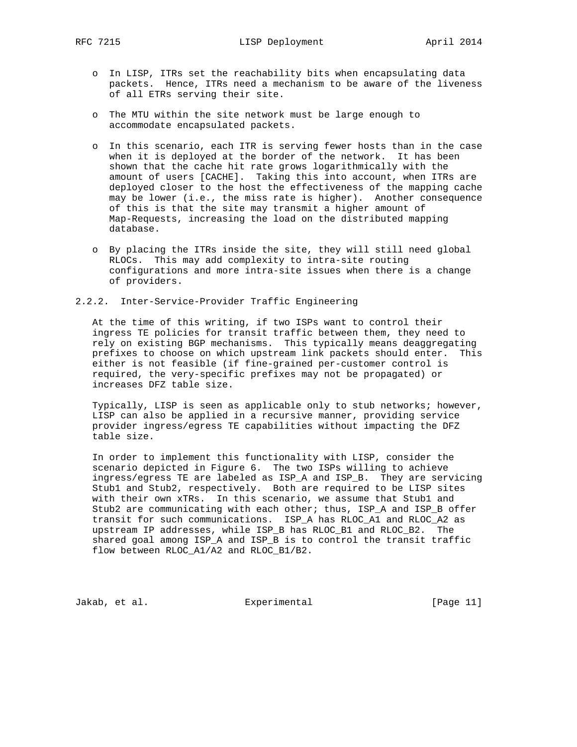- o In LISP, ITRs set the reachability bits when encapsulating data packets. Hence, ITRs need a mechanism to be aware of the liveness of all ETRs serving their site.
- o The MTU within the site network must be large enough to accommodate encapsulated packets.
- o In this scenario, each ITR is serving fewer hosts than in the case when it is deployed at the border of the network. It has been shown that the cache hit rate grows logarithmically with the amount of users [CACHE]. Taking this into account, when ITRs are deployed closer to the host the effectiveness of the mapping cache may be lower (i.e., the miss rate is higher). Another consequence of this is that the site may transmit a higher amount of Map-Requests, increasing the load on the distributed mapping database.
- o By placing the ITRs inside the site, they will still need global RLOCs. This may add complexity to intra-site routing configurations and more intra-site issues when there is a change of providers.

### 2.2.2. Inter-Service-Provider Traffic Engineering

 At the time of this writing, if two ISPs want to control their ingress TE policies for transit traffic between them, they need to rely on existing BGP mechanisms. This typically means deaggregating prefixes to choose on which upstream link packets should enter. This either is not feasible (if fine-grained per-customer control is required, the very-specific prefixes may not be propagated) or increases DFZ table size.

 Typically, LISP is seen as applicable only to stub networks; however, LISP can also be applied in a recursive manner, providing service provider ingress/egress TE capabilities without impacting the DFZ table size.

 In order to implement this functionality with LISP, consider the scenario depicted in Figure 6. The two ISPs willing to achieve ingress/egress TE are labeled as ISP\_A and ISP\_B. They are servicing Stub1 and Stub2, respectively. Both are required to be LISP sites with their own xTRs. In this scenario, we assume that Stub1 and Stub2 are communicating with each other; thus, ISP\_A and ISP\_B offer transit for such communications. ISP\_A has RLOC\_A1 and RLOC\_A2 as upstream IP addresses, while ISP\_B has RLOC\_B1 and RLOC\_B2. The shared goal among ISP\_A and ISP\_B is to control the transit traffic flow between RLOC\_A1/A2 and RLOC\_B1/B2.

Jakab, et al. Sand Experimental Experimental [Page 11]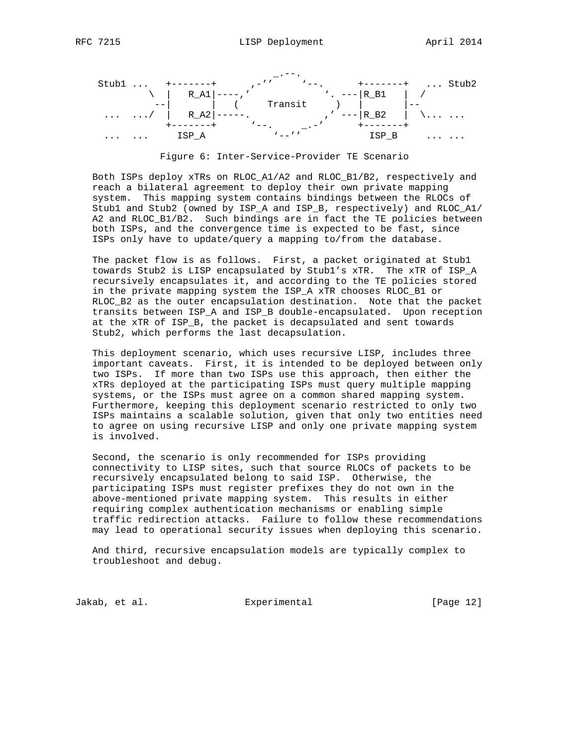

Figure 6: Inter-Service-Provider TE Scenario

 Both ISPs deploy xTRs on RLOC\_A1/A2 and RLOC\_B1/B2, respectively and reach a bilateral agreement to deploy their own private mapping system. This mapping system contains bindings between the RLOCs of Stub1 and Stub2 (owned by ISP\_A and ISP\_B, respectively) and RLOC\_A1/ A2 and RLOC\_B1/B2. Such bindings are in fact the TE policies between both ISPs, and the convergence time is expected to be fast, since ISPs only have to update/query a mapping to/from the database.

 The packet flow is as follows. First, a packet originated at Stub1 towards Stub2 is LISP encapsulated by Stub1's xTR. The xTR of ISP\_A recursively encapsulates it, and according to the TE policies stored in the private mapping system the ISP\_A xTR chooses RLOC\_B1 or RLOC\_B2 as the outer encapsulation destination. Note that the packet transits between ISP\_A and ISP\_B double-encapsulated. Upon reception at the xTR of ISP\_B, the packet is decapsulated and sent towards Stub2, which performs the last decapsulation.

 This deployment scenario, which uses recursive LISP, includes three important caveats. First, it is intended to be deployed between only two ISPs. If more than two ISPs use this approach, then either the xTRs deployed at the participating ISPs must query multiple mapping systems, or the ISPs must agree on a common shared mapping system. Furthermore, keeping this deployment scenario restricted to only two ISPs maintains a scalable solution, given that only two entities need to agree on using recursive LISP and only one private mapping system is involved.

 Second, the scenario is only recommended for ISPs providing connectivity to LISP sites, such that source RLOCs of packets to be recursively encapsulated belong to said ISP. Otherwise, the participating ISPs must register prefixes they do not own in the above-mentioned private mapping system. This results in either requiring complex authentication mechanisms or enabling simple traffic redirection attacks. Failure to follow these recommendations may lead to operational security issues when deploying this scenario.

 And third, recursive encapsulation models are typically complex to troubleshoot and debug.

Jakab, et al. Subsectimental Experimental [Page 12]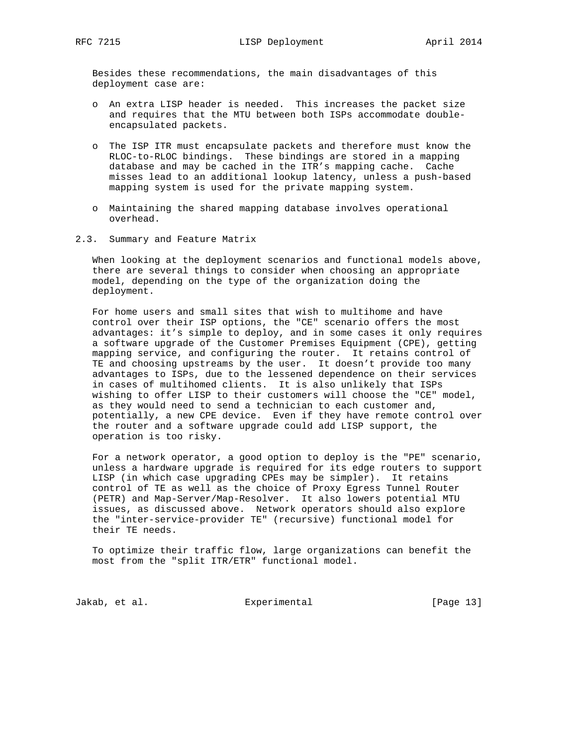Besides these recommendations, the main disadvantages of this deployment case are:

- o An extra LISP header is needed. This increases the packet size and requires that the MTU between both ISPs accommodate double encapsulated packets.
- o The ISP ITR must encapsulate packets and therefore must know the RLOC-to-RLOC bindings. These bindings are stored in a mapping database and may be cached in the ITR's mapping cache. Cache misses lead to an additional lookup latency, unless a push-based mapping system is used for the private mapping system.
- o Maintaining the shared mapping database involves operational overhead.
- 2.3. Summary and Feature Matrix

 When looking at the deployment scenarios and functional models above, there are several things to consider when choosing an appropriate model, depending on the type of the organization doing the deployment.

 For home users and small sites that wish to multihome and have control over their ISP options, the "CE" scenario offers the most advantages: it's simple to deploy, and in some cases it only requires a software upgrade of the Customer Premises Equipment (CPE), getting mapping service, and configuring the router. It retains control of TE and choosing upstreams by the user. It doesn't provide too many advantages to ISPs, due to the lessened dependence on their services in cases of multihomed clients. It is also unlikely that ISPs wishing to offer LISP to their customers will choose the "CE" model, as they would need to send a technician to each customer and, potentially, a new CPE device. Even if they have remote control over the router and a software upgrade could add LISP support, the operation is too risky.

 For a network operator, a good option to deploy is the "PE" scenario, unless a hardware upgrade is required for its edge routers to support LISP (in which case upgrading CPEs may be simpler). It retains control of TE as well as the choice of Proxy Egress Tunnel Router (PETR) and Map-Server/Map-Resolver. It also lowers potential MTU issues, as discussed above. Network operators should also explore the "inter-service-provider TE" (recursive) functional model for their TE needs.

 To optimize their traffic flow, large organizations can benefit the most from the "split ITR/ETR" functional model.

Jakab, et al. Experimental [Page 13]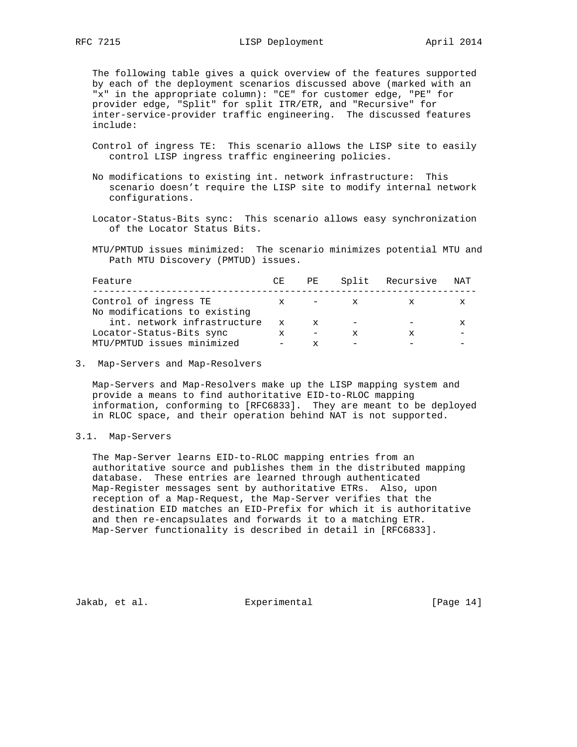The following table gives a quick overview of the features supported by each of the deployment scenarios discussed above (marked with an "x" in the appropriate column): "CE" for customer edge, "PE" for provider edge, "Split" for split ITR/ETR, and "Recursive" for inter-service-provider traffic engineering. The discussed features include:

- Control of ingress TE: This scenario allows the LISP site to easily control LISP ingress traffic engineering policies.
- No modifications to existing int. network infrastructure: This scenario doesn't require the LISP site to modify internal network configurations.
- Locator-Status-Bits sync: This scenario allows easy synchronization of the Locator Status Bits.

 MTU/PMTUD issues minimized: The scenario minimizes potential MTU and Path MTU Discovery (PMTUD) issues.

| Feature                                               | CE           | PF. |              | Split Recursive | NAT |
|-------------------------------------------------------|--------------|-----|--------------|-----------------|-----|
| Control of ingress TE<br>No modifications to existing | x            |     | $\mathbf{x}$ |                 |     |
| int, network infrastructure                           | $\mathbf{x}$ | x   |              |                 | x   |
| Locator-Status-Bits sync                              |              |     | x            |                 |     |
| MTU/PMTUD issues minimized                            |              |     |              |                 |     |

### 3. Map-Servers and Map-Resolvers

 Map-Servers and Map-Resolvers make up the LISP mapping system and provide a means to find authoritative EID-to-RLOC mapping information, conforming to [RFC6833]. They are meant to be deployed in RLOC space, and their operation behind NAT is not supported.

# 3.1. Map-Servers

 The Map-Server learns EID-to-RLOC mapping entries from an authoritative source and publishes them in the distributed mapping database. These entries are learned through authenticated Map-Register messages sent by authoritative ETRs. Also, upon reception of a Map-Request, the Map-Server verifies that the destination EID matches an EID-Prefix for which it is authoritative and then re-encapsulates and forwards it to a matching ETR. Map-Server functionality is described in detail in [RFC6833].

Jakab, et al. San Experimental Contract (Page 14)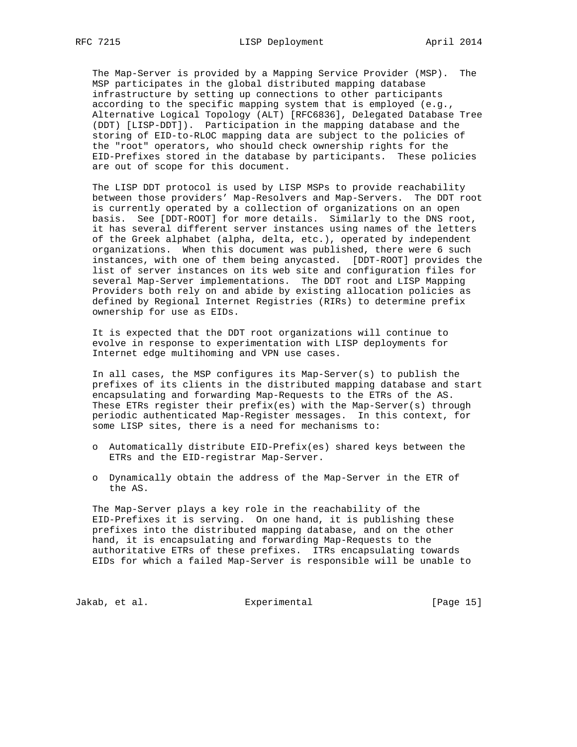The Map-Server is provided by a Mapping Service Provider (MSP). The MSP participates in the global distributed mapping database infrastructure by setting up connections to other participants according to the specific mapping system that is employed (e.g., Alternative Logical Topology (ALT) [RFC6836], Delegated Database Tree (DDT) [LISP-DDT]). Participation in the mapping database and the storing of EID-to-RLOC mapping data are subject to the policies of the "root" operators, who should check ownership rights for the EID-Prefixes stored in the database by participants. These policies are out of scope for this document.

 The LISP DDT protocol is used by LISP MSPs to provide reachability between those providers' Map-Resolvers and Map-Servers. The DDT root is currently operated by a collection of organizations on an open basis. See [DDT-ROOT] for more details. Similarly to the DNS root, it has several different server instances using names of the letters of the Greek alphabet (alpha, delta, etc.), operated by independent organizations. When this document was published, there were 6 such instances, with one of them being anycasted. [DDT-ROOT] provides the list of server instances on its web site and configuration files for several Map-Server implementations. The DDT root and LISP Mapping Providers both rely on and abide by existing allocation policies as defined by Regional Internet Registries (RIRs) to determine prefix ownership for use as EIDs.

 It is expected that the DDT root organizations will continue to evolve in response to experimentation with LISP deployments for Internet edge multihoming and VPN use cases.

 In all cases, the MSP configures its Map-Server(s) to publish the prefixes of its clients in the distributed mapping database and start encapsulating and forwarding Map-Requests to the ETRs of the AS. These ETRs register their prefix(es) with the Map-Server(s) through periodic authenticated Map-Register messages. In this context, for some LISP sites, there is a need for mechanisms to:

- o Automatically distribute EID-Prefix(es) shared keys between the ETRs and the EID-registrar Map-Server.
- o Dynamically obtain the address of the Map-Server in the ETR of the AS.

 The Map-Server plays a key role in the reachability of the EID-Prefixes it is serving. On one hand, it is publishing these prefixes into the distributed mapping database, and on the other hand, it is encapsulating and forwarding Map-Requests to the authoritative ETRs of these prefixes. ITRs encapsulating towards EIDs for which a failed Map-Server is responsible will be unable to

Jakab, et al. Experimental [Page 15]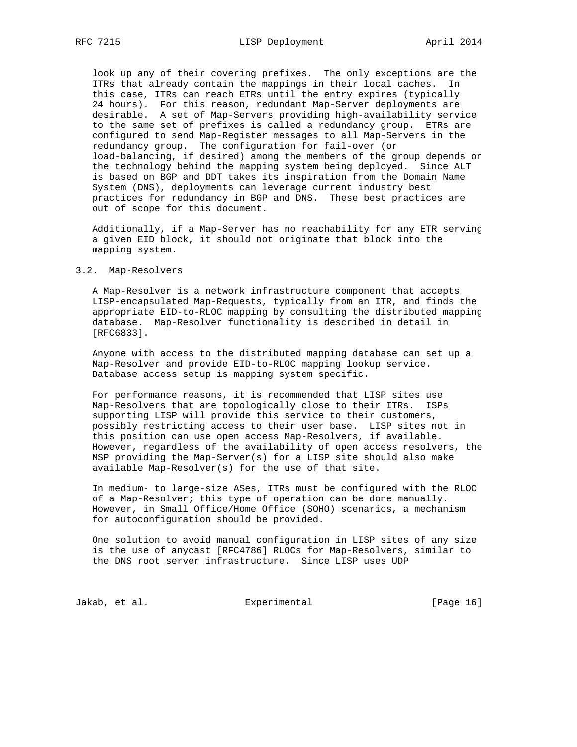look up any of their covering prefixes. The only exceptions are the ITRs that already contain the mappings in their local caches. In this case, ITRs can reach ETRs until the entry expires (typically 24 hours). For this reason, redundant Map-Server deployments are desirable. A set of Map-Servers providing high-availability service to the same set of prefixes is called a redundancy group. ETRs are configured to send Map-Register messages to all Map-Servers in the redundancy group. The configuration for fail-over (or load-balancing, if desired) among the members of the group depends on the technology behind the mapping system being deployed. Since ALT is based on BGP and DDT takes its inspiration from the Domain Name System (DNS), deployments can leverage current industry best practices for redundancy in BGP and DNS. These best practices are out of scope for this document.

 Additionally, if a Map-Server has no reachability for any ETR serving a given EID block, it should not originate that block into the mapping system.

#### 3.2. Map-Resolvers

 A Map-Resolver is a network infrastructure component that accepts LISP-encapsulated Map-Requests, typically from an ITR, and finds the appropriate EID-to-RLOC mapping by consulting the distributed mapping database. Map-Resolver functionality is described in detail in [RFC6833].

 Anyone with access to the distributed mapping database can set up a Map-Resolver and provide EID-to-RLOC mapping lookup service. Database access setup is mapping system specific.

 For performance reasons, it is recommended that LISP sites use Map-Resolvers that are topologically close to their ITRs. ISPs supporting LISP will provide this service to their customers, possibly restricting access to their user base. LISP sites not in this position can use open access Map-Resolvers, if available. However, regardless of the availability of open access resolvers, the MSP providing the Map-Server(s) for a LISP site should also make available Map-Resolver(s) for the use of that site.

 In medium- to large-size ASes, ITRs must be configured with the RLOC of a Map-Resolver; this type of operation can be done manually. However, in Small Office/Home Office (SOHO) scenarios, a mechanism for autoconfiguration should be provided.

 One solution to avoid manual configuration in LISP sites of any size is the use of anycast [RFC4786] RLOCs for Map-Resolvers, similar to the DNS root server infrastructure. Since LISP uses UDP

Jakab, et al. Subsectimental Experimental [Page 16]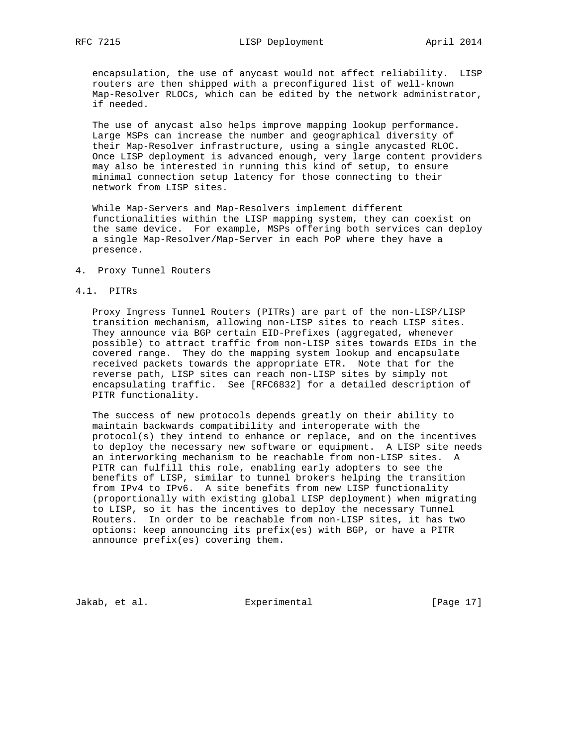encapsulation, the use of anycast would not affect reliability. LISP routers are then shipped with a preconfigured list of well-known Map-Resolver RLOCs, which can be edited by the network administrator, if needed.

 The use of anycast also helps improve mapping lookup performance. Large MSPs can increase the number and geographical diversity of their Map-Resolver infrastructure, using a single anycasted RLOC. Once LISP deployment is advanced enough, very large content providers may also be interested in running this kind of setup, to ensure minimal connection setup latency for those connecting to their network from LISP sites.

 While Map-Servers and Map-Resolvers implement different functionalities within the LISP mapping system, they can coexist on the same device. For example, MSPs offering both services can deploy a single Map-Resolver/Map-Server in each PoP where they have a presence.

#### 4. Proxy Tunnel Routers

### 4.1. PITRs

 Proxy Ingress Tunnel Routers (PITRs) are part of the non-LISP/LISP transition mechanism, allowing non-LISP sites to reach LISP sites. They announce via BGP certain EID-Prefixes (aggregated, whenever possible) to attract traffic from non-LISP sites towards EIDs in the covered range. They do the mapping system lookup and encapsulate received packets towards the appropriate ETR. Note that for the reverse path, LISP sites can reach non-LISP sites by simply not encapsulating traffic. See [RFC6832] for a detailed description of PITR functionality.

 The success of new protocols depends greatly on their ability to maintain backwards compatibility and interoperate with the protocol(s) they intend to enhance or replace, and on the incentives to deploy the necessary new software or equipment. A LISP site needs an interworking mechanism to be reachable from non-LISP sites. A PITR can fulfill this role, enabling early adopters to see the benefits of LISP, similar to tunnel brokers helping the transition from IPv4 to IPv6. A site benefits from new LISP functionality (proportionally with existing global LISP deployment) when migrating to LISP, so it has the incentives to deploy the necessary Tunnel Routers. In order to be reachable from non-LISP sites, it has two options: keep announcing its prefix(es) with BGP, or have a PITR announce prefix(es) covering them.

Jakab, et al. Experimental [Page 17]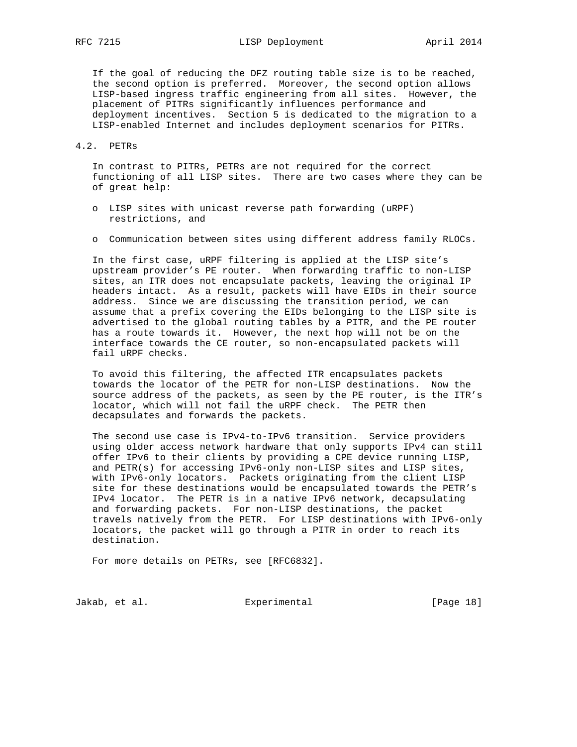If the goal of reducing the DFZ routing table size is to be reached, the second option is preferred. Moreover, the second option allows LISP-based ingress traffic engineering from all sites. However, the placement of PITRs significantly influences performance and deployment incentives. Section 5 is dedicated to the migration to a LISP-enabled Internet and includes deployment scenarios for PITRs.

# 4.2. PETRs

 In contrast to PITRs, PETRs are not required for the correct functioning of all LISP sites. There are two cases where they can be of great help:

- o LISP sites with unicast reverse path forwarding (uRPF) restrictions, and
- o Communication between sites using different address family RLOCs.

 In the first case, uRPF filtering is applied at the LISP site's upstream provider's PE router. When forwarding traffic to non-LISP sites, an ITR does not encapsulate packets, leaving the original IP headers intact. As a result, packets will have EIDs in their source address. Since we are discussing the transition period, we can assume that a prefix covering the EIDs belonging to the LISP site is advertised to the global routing tables by a PITR, and the PE router has a route towards it. However, the next hop will not be on the interface towards the CE router, so non-encapsulated packets will fail uRPF checks.

 To avoid this filtering, the affected ITR encapsulates packets towards the locator of the PETR for non-LISP destinations. Now the source address of the packets, as seen by the PE router, is the ITR's locator, which will not fail the uRPF check. The PETR then decapsulates and forwards the packets.

 The second use case is IPv4-to-IPv6 transition. Service providers using older access network hardware that only supports IPv4 can still offer IPv6 to their clients by providing a CPE device running LISP, and PETR(s) for accessing IPv6-only non-LISP sites and LISP sites, with IPv6-only locators. Packets originating from the client LISP site for these destinations would be encapsulated towards the PETR's IPv4 locator. The PETR is in a native IPv6 network, decapsulating and forwarding packets. For non-LISP destinations, the packet travels natively from the PETR. For LISP destinations with IPv6-only locators, the packet will go through a PITR in order to reach its destination.

For more details on PETRs, see [RFC6832].

Jakab, et al. Experimental [Page 18]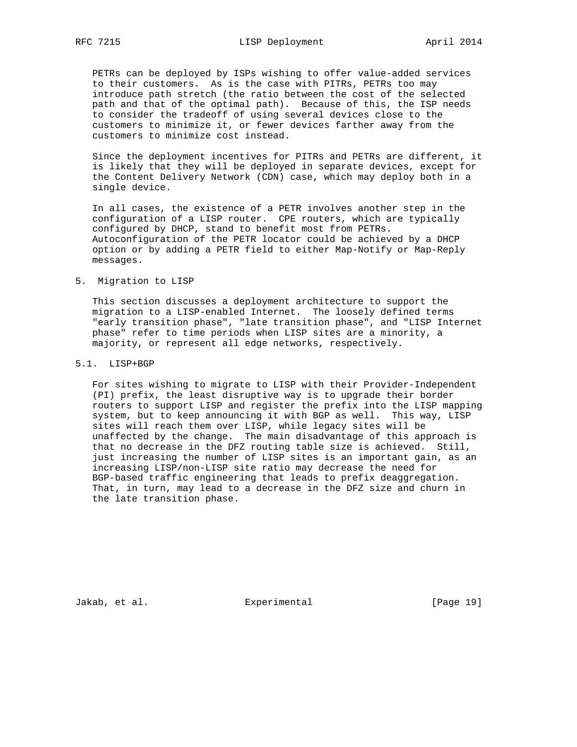PETRs can be deployed by ISPs wishing to offer value-added services to their customers. As is the case with PITRs, PETRs too may introduce path stretch (the ratio between the cost of the selected path and that of the optimal path). Because of this, the ISP needs to consider the tradeoff of using several devices close to the customers to minimize it, or fewer devices farther away from the customers to minimize cost instead.

 Since the deployment incentives for PITRs and PETRs are different, it is likely that they will be deployed in separate devices, except for the Content Delivery Network (CDN) case, which may deploy both in a single device.

 In all cases, the existence of a PETR involves another step in the configuration of a LISP router. CPE routers, which are typically configured by DHCP, stand to benefit most from PETRs. Autoconfiguration of the PETR locator could be achieved by a DHCP option or by adding a PETR field to either Map-Notify or Map-Reply messages.

# 5. Migration to LISP

 This section discusses a deployment architecture to support the migration to a LISP-enabled Internet. The loosely defined terms "early transition phase", "late transition phase", and "LISP Internet phase" refer to time periods when LISP sites are a minority, a majority, or represent all edge networks, respectively.

# 5.1. LISP+BGP

 For sites wishing to migrate to LISP with their Provider-Independent (PI) prefix, the least disruptive way is to upgrade their border routers to support LISP and register the prefix into the LISP mapping system, but to keep announcing it with BGP as well. This way, LISP sites will reach them over LISP, while legacy sites will be unaffected by the change. The main disadvantage of this approach is that no decrease in the DFZ routing table size is achieved. Still, just increasing the number of LISP sites is an important gain, as an increasing LISP/non-LISP site ratio may decrease the need for BGP-based traffic engineering that leads to prefix deaggregation. That, in turn, may lead to a decrease in the DFZ size and churn in the late transition phase.

Jakab, et al. Experimental [Page 19]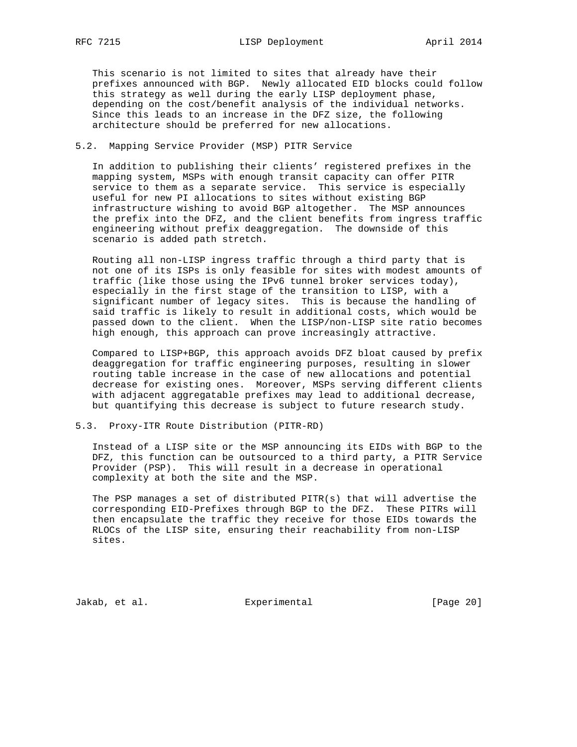This scenario is not limited to sites that already have their prefixes announced with BGP. Newly allocated EID blocks could follow this strategy as well during the early LISP deployment phase, depending on the cost/benefit analysis of the individual networks. Since this leads to an increase in the DFZ size, the following architecture should be preferred for new allocations.

# 5.2. Mapping Service Provider (MSP) PITR Service

 In addition to publishing their clients' registered prefixes in the mapping system, MSPs with enough transit capacity can offer PITR service to them as a separate service. This service is especially useful for new PI allocations to sites without existing BGP infrastructure wishing to avoid BGP altogether. The MSP announces the prefix into the DFZ, and the client benefits from ingress traffic engineering without prefix deaggregation. The downside of this scenario is added path stretch.

 Routing all non-LISP ingress traffic through a third party that is not one of its ISPs is only feasible for sites with modest amounts of traffic (like those using the IPv6 tunnel broker services today), especially in the first stage of the transition to LISP, with a significant number of legacy sites. This is because the handling of said traffic is likely to result in additional costs, which would be passed down to the client. When the LISP/non-LISP site ratio becomes high enough, this approach can prove increasingly attractive.

 Compared to LISP+BGP, this approach avoids DFZ bloat caused by prefix deaggregation for traffic engineering purposes, resulting in slower routing table increase in the case of new allocations and potential decrease for existing ones. Moreover, MSPs serving different clients with adjacent aggregatable prefixes may lead to additional decrease, but quantifying this decrease is subject to future research study.

### 5.3. Proxy-ITR Route Distribution (PITR-RD)

 Instead of a LISP site or the MSP announcing its EIDs with BGP to the DFZ, this function can be outsourced to a third party, a PITR Service Provider (PSP). This will result in a decrease in operational complexity at both the site and the MSP.

 The PSP manages a set of distributed PITR(s) that will advertise the corresponding EID-Prefixes through BGP to the DFZ. These PITRs will then encapsulate the traffic they receive for those EIDs towards the RLOCs of the LISP site, ensuring their reachability from non-LISP sites.

Jakab, et al. Subsectimental Experimental [Page 20]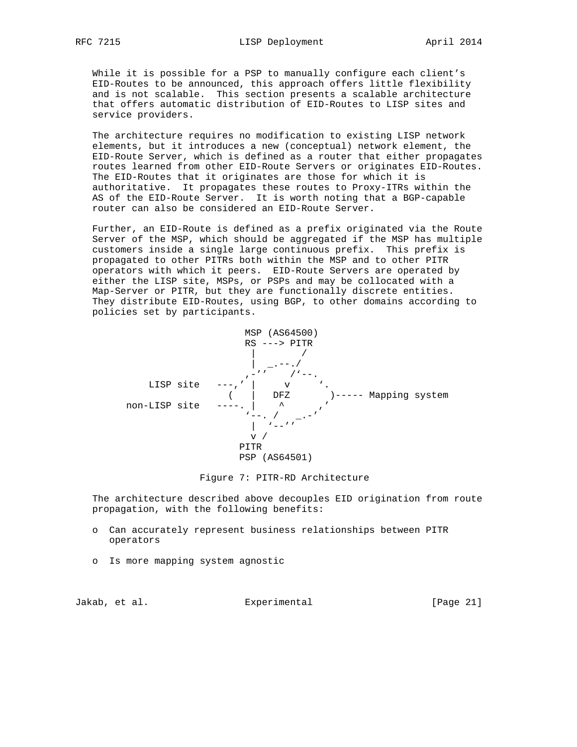While it is possible for a PSP to manually configure each client's EID-Routes to be announced, this approach offers little flexibility and is not scalable. This section presents a scalable architecture that offers automatic distribution of EID-Routes to LISP sites and service providers.

 The architecture requires no modification to existing LISP network elements, but it introduces a new (conceptual) network element, the EID-Route Server, which is defined as a router that either propagates routes learned from other EID-Route Servers or originates EID-Routes. The EID-Routes that it originates are those for which it is authoritative. It propagates these routes to Proxy-ITRs within the AS of the EID-Route Server. It is worth noting that a BGP-capable router can also be considered an EID-Route Server.

 Further, an EID-Route is defined as a prefix originated via the Route Server of the MSP, which should be aggregated if the MSP has multiple customers inside a single large continuous prefix. This prefix is propagated to other PITRs both within the MSP and to other PITR operators with which it peers. EID-Route Servers are operated by either the LISP site, MSPs, or PSPs and may be collocated with a Map-Server or PITR, but they are functionally discrete entities. They distribute EID-Routes, using BGP, to other domains according to policies set by participants.



### Figure 7: PITR-RD Architecture

 The architecture described above decouples EID origination from route propagation, with the following benefits:

- o Can accurately represent business relationships between PITR operators
- o Is more mapping system agnostic

Jakab, et al. Experimental [Page 21]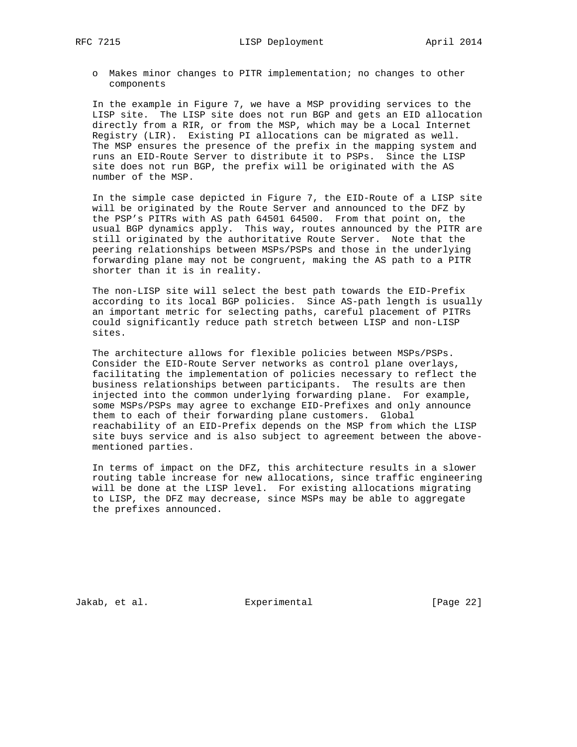o Makes minor changes to PITR implementation; no changes to other components

 In the example in Figure 7, we have a MSP providing services to the LISP site. The LISP site does not run BGP and gets an EID allocation directly from a RIR, or from the MSP, which may be a Local Internet Registry (LIR). Existing PI allocations can be migrated as well. The MSP ensures the presence of the prefix in the mapping system and runs an EID-Route Server to distribute it to PSPs. Since the LISP site does not run BGP, the prefix will be originated with the AS number of the MSP.

 In the simple case depicted in Figure 7, the EID-Route of a LISP site will be originated by the Route Server and announced to the DFZ by the PSP's PITRs with AS path 64501 64500. From that point on, the usual BGP dynamics apply. This way, routes announced by the PITR are still originated by the authoritative Route Server. Note that the peering relationships between MSPs/PSPs and those in the underlying forwarding plane may not be congruent, making the AS path to a PITR shorter than it is in reality.

 The non-LISP site will select the best path towards the EID-Prefix according to its local BGP policies. Since AS-path length is usually an important metric for selecting paths, careful placement of PITRs could significantly reduce path stretch between LISP and non-LISP sites.

 The architecture allows for flexible policies between MSPs/PSPs. Consider the EID-Route Server networks as control plane overlays, facilitating the implementation of policies necessary to reflect the business relationships between participants. The results are then injected into the common underlying forwarding plane. For example, some MSPs/PSPs may agree to exchange EID-Prefixes and only announce them to each of their forwarding plane customers. Global reachability of an EID-Prefix depends on the MSP from which the LISP site buys service and is also subject to agreement between the above mentioned parties.

 In terms of impact on the DFZ, this architecture results in a slower routing table increase for new allocations, since traffic engineering will be done at the LISP level. For existing allocations migrating to LISP, the DFZ may decrease, since MSPs may be able to aggregate the prefixes announced.

Jakab, et al. Experimental [Page 22]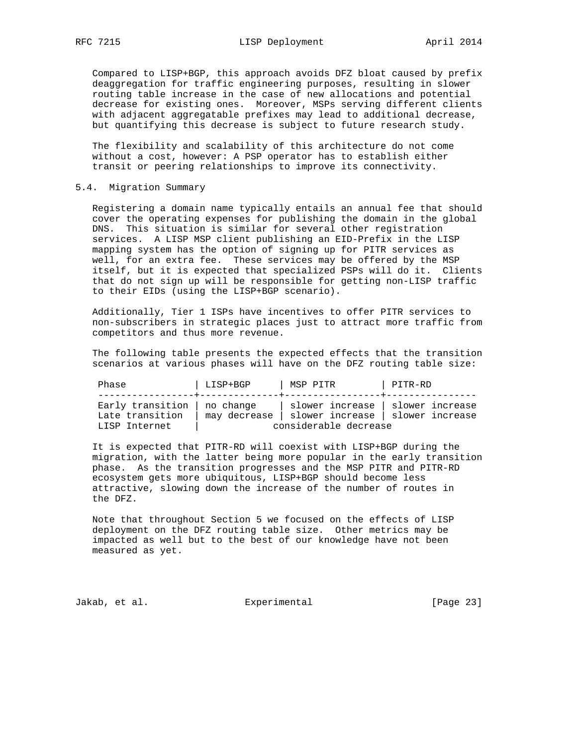Compared to LISP+BGP, this approach avoids DFZ bloat caused by prefix deaggregation for traffic engineering purposes, resulting in slower routing table increase in the case of new allocations and potential decrease for existing ones. Moreover, MSPs serving different clients with adjacent aggregatable prefixes may lead to additional decrease, but quantifying this decrease is subject to future research study.

 The flexibility and scalability of this architecture do not come without a cost, however: A PSP operator has to establish either transit or peering relationships to improve its connectivity.

# 5.4. Migration Summary

 Registering a domain name typically entails an annual fee that should cover the operating expenses for publishing the domain in the global DNS. This situation is similar for several other registration services. A LISP MSP client publishing an EID-Prefix in the LISP mapping system has the option of signing up for PITR services as well, for an extra fee. These services may be offered by the MSP itself, but it is expected that specialized PSPs will do it. Clients that do not sign up will be responsible for getting non-LISP traffic to their EIDs (using the LISP+BGP scenario).

 Additionally, Tier 1 ISPs have incentives to offer PITR services to non-subscribers in strategic places just to attract more traffic from competitors and thus more revenue.

 The following table presents the expected effects that the transition scenarios at various phases will have on the DFZ routing table size:

| Phase                                                              | LISP+BGP | MSP PITR                                                                                                       | PITR-RD |  |  |
|--------------------------------------------------------------------|----------|----------------------------------------------------------------------------------------------------------------|---------|--|--|
| Early transition $ $ no change<br>Late transition<br>LISP Internet |          | slower increase   slower increase<br>may decrease   slower increase   slower increase<br>considerable decrease |         |  |  |

 It is expected that PITR-RD will coexist with LISP+BGP during the migration, with the latter being more popular in the early transition phase. As the transition progresses and the MSP PITR and PITR-RD ecosystem gets more ubiquitous, LISP+BGP should become less attractive, slowing down the increase of the number of routes in the DFZ.

 Note that throughout Section 5 we focused on the effects of LISP deployment on the DFZ routing table size. Other metrics may be impacted as well but to the best of our knowledge have not been measured as yet.

Jakab, et al. Subsectimental Experimental [Page 23]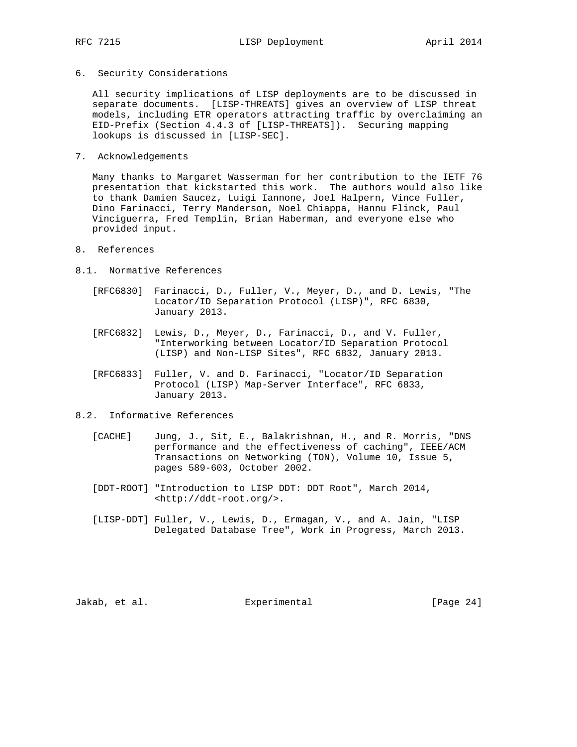6. Security Considerations

 All security implications of LISP deployments are to be discussed in separate documents. [LISP-THREATS] gives an overview of LISP threat models, including ETR operators attracting traffic by overclaiming an EID-Prefix (Section 4.4.3 of [LISP-THREATS]). Securing mapping lookups is discussed in [LISP-SEC].

7. Acknowledgements

 Many thanks to Margaret Wasserman for her contribution to the IETF 76 presentation that kickstarted this work. The authors would also like to thank Damien Saucez, Luigi Iannone, Joel Halpern, Vince Fuller, Dino Farinacci, Terry Manderson, Noel Chiappa, Hannu Flinck, Paul Vinciguerra, Fred Templin, Brian Haberman, and everyone else who provided input.

- 8. References
- 8.1. Normative References
	- [RFC6830] Farinacci, D., Fuller, V., Meyer, D., and D. Lewis, "The Locator/ID Separation Protocol (LISP)", RFC 6830, January 2013.
	- [RFC6832] Lewis, D., Meyer, D., Farinacci, D., and V. Fuller, "Interworking between Locator/ID Separation Protocol (LISP) and Non-LISP Sites", RFC 6832, January 2013.
	- [RFC6833] Fuller, V. and D. Farinacci, "Locator/ID Separation Protocol (LISP) Map-Server Interface", RFC 6833, January 2013.
- 8.2. Informative References
	- [CACHE] Jung, J., Sit, E., Balakrishnan, H., and R. Morris, "DNS performance and the effectiveness of caching", IEEE/ACM Transactions on Networking (TON), Volume 10, Issue 5, pages 589-603, October 2002.
	- [DDT-ROOT] "Introduction to LISP DDT: DDT Root", March 2014, <http://ddt-root.org/>.
	- [LISP-DDT] Fuller, V., Lewis, D., Ermagan, V., and A. Jain, "LISP Delegated Database Tree", Work in Progress, March 2013.

Jakab, et al. Sand Experimental Experimental [Page 24]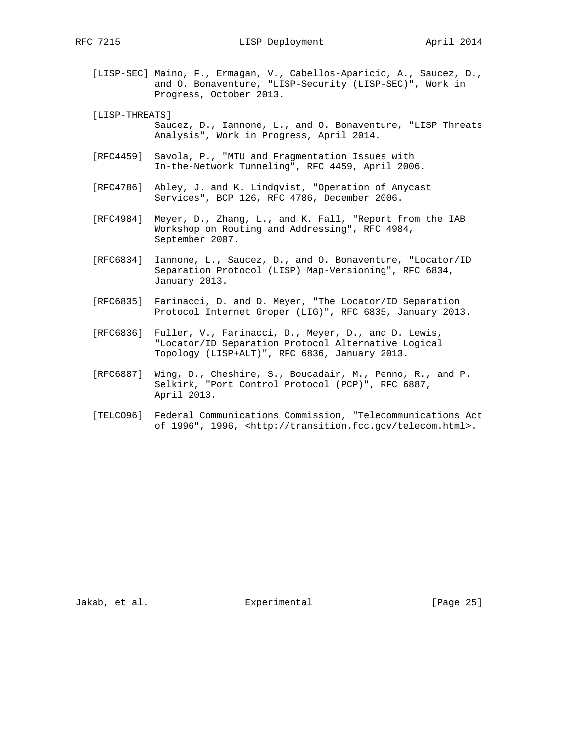- [LISP-SEC] Maino, F., Ermagan, V., Cabellos-Aparicio, A., Saucez, D., and O. Bonaventure, "LISP-Security (LISP-SEC)", Work in Progress, October 2013.
- [LISP-THREATS] Saucez, D., Iannone, L., and O. Bonaventure, "LISP Threats Analysis", Work in Progress, April 2014.
- [RFC4459] Savola, P., "MTU and Fragmentation Issues with In-the-Network Tunneling", RFC 4459, April 2006.
- [RFC4786] Abley, J. and K. Lindqvist, "Operation of Anycast Services", BCP 126, RFC 4786, December 2006.
- [RFC4984] Meyer, D., Zhang, L., and K. Fall, "Report from the IAB Workshop on Routing and Addressing", RFC 4984, September 2007.
- [RFC6834] Iannone, L., Saucez, D., and O. Bonaventure, "Locator/ID Separation Protocol (LISP) Map-Versioning", RFC 6834, January 2013.
- [RFC6835] Farinacci, D. and D. Meyer, "The Locator/ID Separation Protocol Internet Groper (LIG)", RFC 6835, January 2013.
- [RFC6836] Fuller, V., Farinacci, D., Meyer, D., and D. Lewis, "Locator/ID Separation Protocol Alternative Logical Topology (LISP+ALT)", RFC 6836, January 2013.
- [RFC6887] Wing, D., Cheshire, S., Boucadair, M., Penno, R., and P. Selkirk, "Port Control Protocol (PCP)", RFC 6887, April 2013.
- [TELCO96] Federal Communications Commission, "Telecommunications Act of 1996", 1996, <http://transition.fcc.gov/telecom.html>.

Jakab, et al. Experimental [Page 25]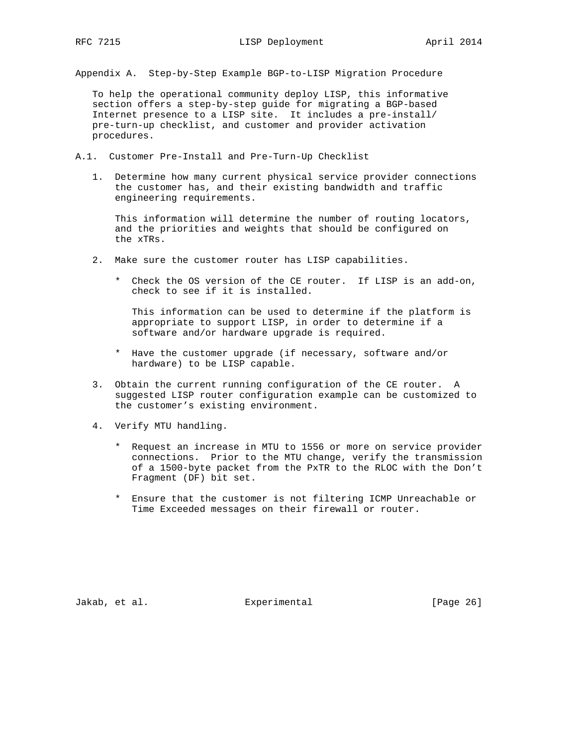Appendix A. Step-by-Step Example BGP-to-LISP Migration Procedure

 To help the operational community deploy LISP, this informative section offers a step-by-step guide for migrating a BGP-based Internet presence to a LISP site. It includes a pre-install/ pre-turn-up checklist, and customer and provider activation procedures.

A.1. Customer Pre-Install and Pre-Turn-Up Checklist

 1. Determine how many current physical service provider connections the customer has, and their existing bandwidth and traffic engineering requirements.

 This information will determine the number of routing locators, and the priorities and weights that should be configured on the xTRs.

- 2. Make sure the customer router has LISP capabilities.
	- \* Check the OS version of the CE router. If LISP is an add-on, check to see if it is installed.

 This information can be used to determine if the platform is appropriate to support LISP, in order to determine if a software and/or hardware upgrade is required.

- \* Have the customer upgrade (if necessary, software and/or hardware) to be LISP capable.
- 3. Obtain the current running configuration of the CE router. A suggested LISP router configuration example can be customized to the customer's existing environment.
- 4. Verify MTU handling.
	- \* Request an increase in MTU to 1556 or more on service provider connections. Prior to the MTU change, verify the transmission of a 1500-byte packet from the PxTR to the RLOC with the Don't Fragment (DF) bit set.
	- \* Ensure that the customer is not filtering ICMP Unreachable or Time Exceeded messages on their firewall or router.

Jakab, et al. Sand Experimental Contract (Page 26)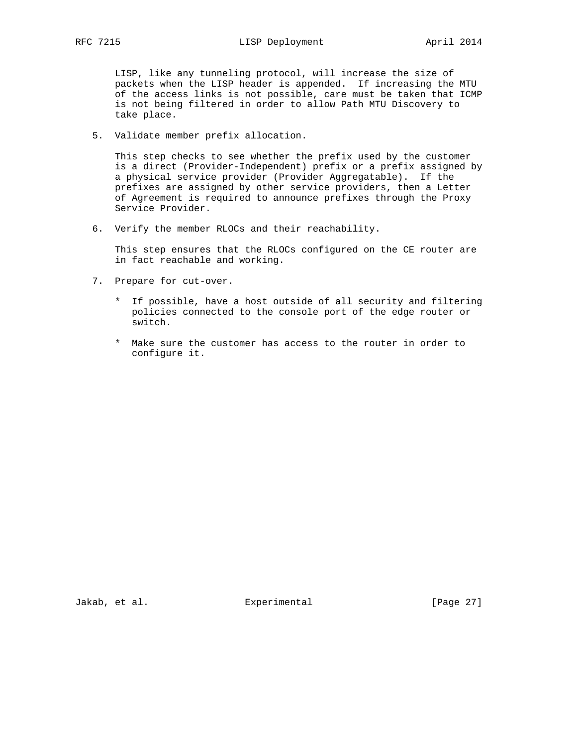LISP, like any tunneling protocol, will increase the size of packets when the LISP header is appended. If increasing the MTU of the access links is not possible, care must be taken that ICMP is not being filtered in order to allow Path MTU Discovery to take place.

5. Validate member prefix allocation.

 This step checks to see whether the prefix used by the customer is a direct (Provider-Independent) prefix or a prefix assigned by a physical service provider (Provider Aggregatable). If the prefixes are assigned by other service providers, then a Letter of Agreement is required to announce prefixes through the Proxy Service Provider.

6. Verify the member RLOCs and their reachability.

 This step ensures that the RLOCs configured on the CE router are in fact reachable and working.

- 7. Prepare for cut-over.
	- \* If possible, have a host outside of all security and filtering policies connected to the console port of the edge router or switch.
	- \* Make sure the customer has access to the router in order to configure it.

Jakab, et al. Subsectimental Experimental [Page 27]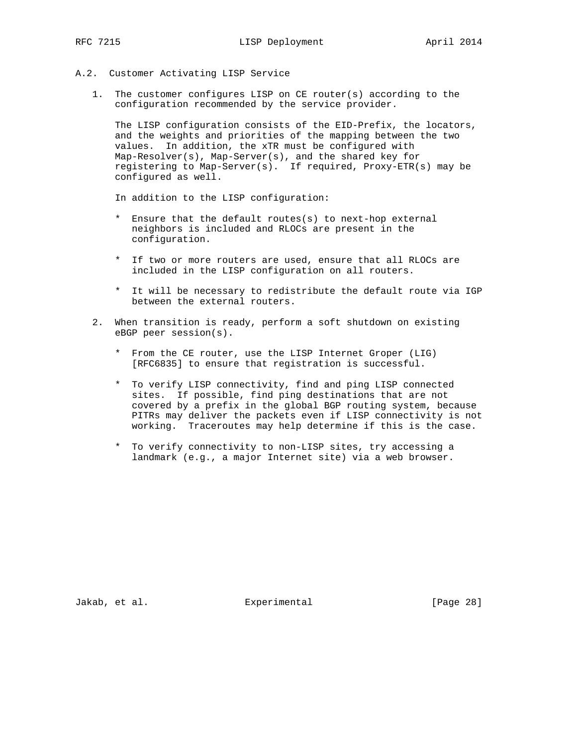- A.2. Customer Activating LISP Service
	- 1. The customer configures LISP on CE router(s) according to the configuration recommended by the service provider.

 The LISP configuration consists of the EID-Prefix, the locators, and the weights and priorities of the mapping between the two values. In addition, the xTR must be configured with Map-Resolver(s), Map-Server(s), and the shared key for registering to Map-Server(s). If required, Proxy-ETR(s) may be configured as well.

In addition to the LISP configuration:

- \* Ensure that the default routes(s) to next-hop external neighbors is included and RLOCs are present in the configuration.
- \* If two or more routers are used, ensure that all RLOCs are included in the LISP configuration on all routers.
- \* It will be necessary to redistribute the default route via IGP between the external routers.
- 2. When transition is ready, perform a soft shutdown on existing eBGP peer session(s).
	- \* From the CE router, use the LISP Internet Groper (LIG) [RFC6835] to ensure that registration is successful.
	- \* To verify LISP connectivity, find and ping LISP connected sites. If possible, find ping destinations that are not covered by a prefix in the global BGP routing system, because PITRs may deliver the packets even if LISP connectivity is not working. Traceroutes may help determine if this is the case.
	- \* To verify connectivity to non-LISP sites, try accessing a landmark (e.g., a major Internet site) via a web browser.

Jakab, et al. Subsectimental Experimental [Page 28]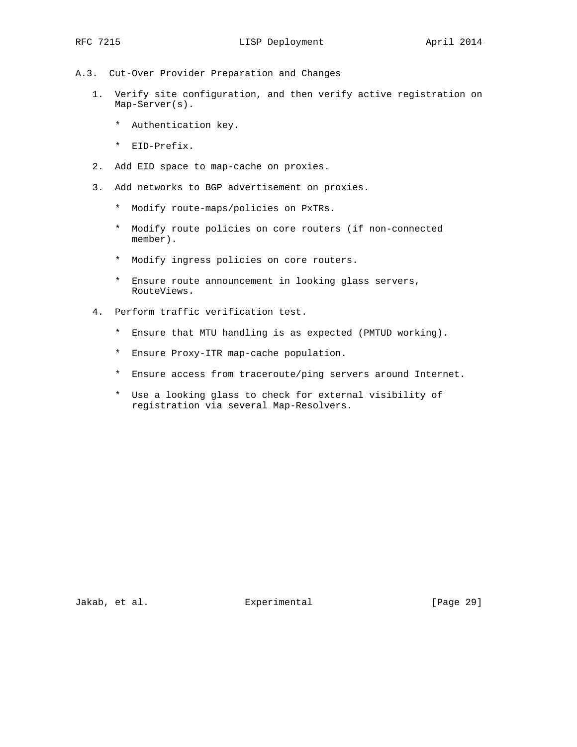- A.3. Cut-Over Provider Preparation and Changes
	- 1. Verify site configuration, and then verify active registration on Map-Server(s).
		- \* Authentication key.
		- \* EID-Prefix.
	- 2. Add EID space to map-cache on proxies.
	- 3. Add networks to BGP advertisement on proxies.
		- \* Modify route-maps/policies on PxTRs.
		- \* Modify route policies on core routers (if non-connected member).
		- \* Modify ingress policies on core routers.
		- \* Ensure route announcement in looking glass servers, RouteViews.
	- 4. Perform traffic verification test.
		- \* Ensure that MTU handling is as expected (PMTUD working).
		- \* Ensure Proxy-ITR map-cache population.
		- \* Ensure access from traceroute/ping servers around Internet.
		- \* Use a looking glass to check for external visibility of registration via several Map-Resolvers.

Jakab, et al. Subsectimental Experimental [Page 29]